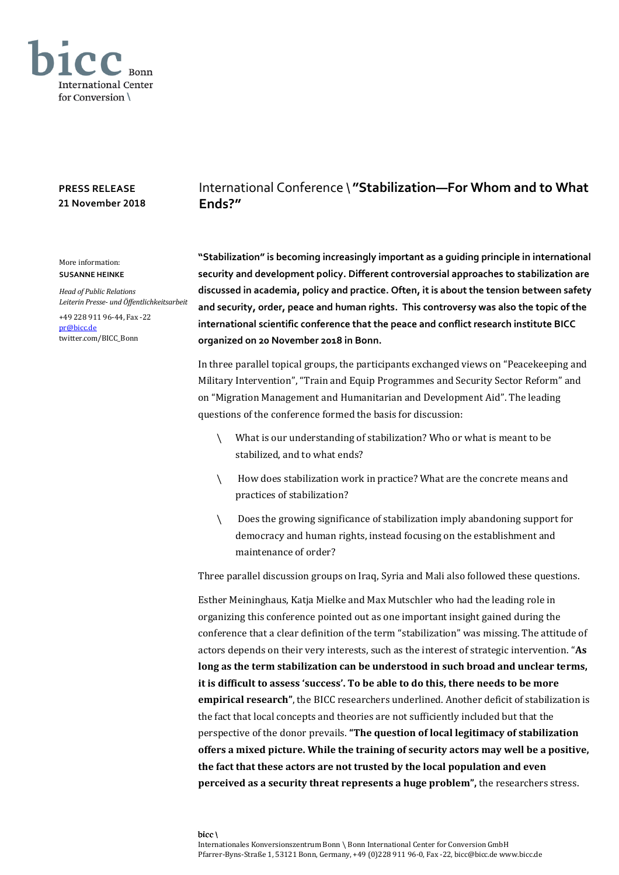

## **PRESS RELEASE 21 November 2018**

## International Conference \ **"Stabilization—For Whom and to What Ends?"**

**"Stabilization" is becoming increasingly important as a guiding principle in international security and development policy. Different controversial approaches to stabilization are discussed in academia, policy and practice. Often, it is about the tension between safety and security, order, peace and human rights. This controversy was also the topic of the international scientific conference that the peace and conflict research institute BICC organized on 20 November 2018 in Bonn.**

In three parallel topical groups, the participants exchanged views on "Peacekeeping and Military Intervention", "Train and Equip Programmes and Security Sector Reform" and on "Migration Management and Humanitarian and Development Aid". The leading questions of the conference formed the basis for discussion:

- \ What is our understanding of stabilization? Who or what is meant to be stabilized, and to what ends?
- \ How does stabilization work in practice? What are the concrete means and practices of stabilization?
- \ Does the growing significance of stabilization imply abandoning support for democracy and human rights, instead focusing on the establishment and maintenance of order?

Three parallel discussion groups on Iraq, Syria and Mali also followed these questions.

Esther Meininghaus, Katja Mielke and Max Mutschler who had the leading role in organizing this conference pointed out as one important insight gained during the conference that a clear definition of the term "stabilization" was missing. The attitude of actors depends on their very interests, such as the interest of strategic intervention. "**As long as the term stabilization can be understood in such broad and unclear terms, it is difficult to assess 'success'. To be able to do this, there needs to be more empirical research"**, the BICC researchers underlined. Another deficit of stabilization is the fact that local concepts and theories are not sufficiently included but that the perspective of the donor prevails. **"The question of local legitimacy of stabilization offers a mixed picture. While the training of security actors may well be a positive, the fact that these actors are not trusted by the local population and even perceived as a security threat represents a huge problem",** the researchers stress.

## More information: **SUSANNE HEINKE**

*Head of Public Relations Leiterin Presse- und Öffentlichkeitsarbeit*

+49 228 911 96-44, Fax -22 [pr@bicc.de](mailto:pr@bicc.de) twitter.com/BICC\_Bonn